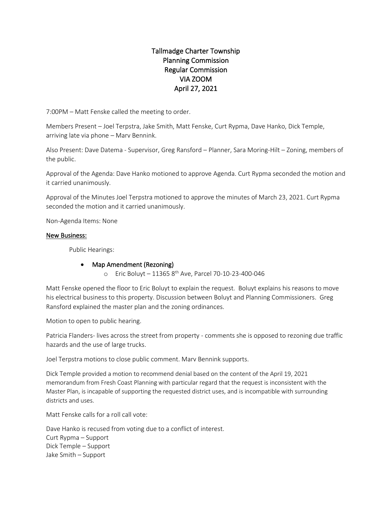# Tallmadge Charter Township Planning Commission Regular Commission VIA ZOOM April 27, 2021

7:00PM – Matt Fenske called the meeting to order.

Members Present – Joel Terpstra, Jake Smith, Matt Fenske, Curt Rypma, Dave Hanko, Dick Temple, arriving late via phone – Marv Bennink.

Also Present: Dave Datema - Supervisor, Greg Ransford – Planner, Sara Moring-Hilt – Zoning, members of the public.

Approval of the Agenda: Dave Hanko motioned to approve Agenda. Curt Rypma seconded the motion and it carried unanimously.

Approval of the Minutes Joel Terpstra motioned to approve the minutes of March 23, 2021. Curt Rypma seconded the motion and it carried unanimously.

Non-Agenda Items: None

### New Business:

Public Hearings:

## • Map Amendment (Rezoning)

o Eric Boluyt – 11365 8th Ave, Parcel 70-10-23-400-046

Matt Fenske opened the floor to Eric Boluyt to explain the request. Boluyt explains his reasons to move his electrical business to this property. Discussion between Boluyt and Planning Commissioners. Greg Ransford explained the master plan and the zoning ordinances.

Motion to open to public hearing.

Patricia Flanders- lives across the street from property - comments she is opposed to rezoning due traffic hazards and the use of large trucks.

Joel Terpstra motions to close public comment. Marv Bennink supports.

Dick Temple provided a motion to recommend denial based on the content of the April 19, 2021 memorandum from Fresh Coast Planning with particular regard that the request is inconsistent with the Master Plan, is incapable of supporting the requested district uses, and is incompatible with surrounding districts and uses.

Matt Fenske calls for a roll call vote:

Dave Hanko is recused from voting due to a conflict of interest. Curt Rypma – Support Dick Temple – Support Jake Smith – Support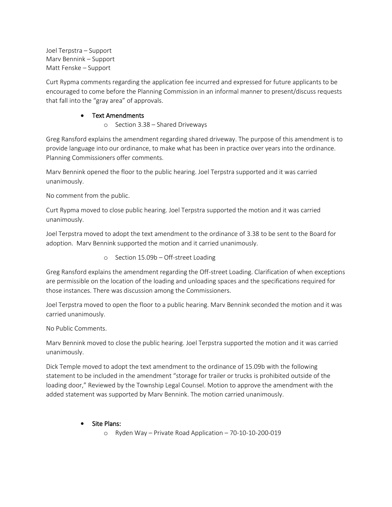Joel Terpstra – Support Marv Bennink – Support Matt Fenske – Support

Curt Rypma comments regarding the application fee incurred and expressed for future applicants to be encouraged to come before the Planning Commission in an informal manner to present/discuss requests that fall into the "gray area" of approvals.

## • Text Amendments

o Section 3.38 – Shared Driveways

Greg Ransford explains the amendment regarding shared driveway. The purpose of this amendment is to provide language into our ordinance, to make what has been in practice over years into the ordinance. Planning Commissioners offer comments.

Marv Bennink opened the floor to the public hearing. Joel Terpstra supported and it was carried unanimously.

No comment from the public.

Curt Rypma moved to close public hearing. Joel Terpstra supported the motion and it was carried unanimously.

Joel Terpstra moved to adopt the text amendment to the ordinance of 3.38 to be sent to the Board for adoption. Marv Bennink supported the motion and it carried unanimously.

o Section 15.09b – Off-street Loading

Greg Ransford explains the amendment regarding the Off-street Loading. Clarification of when exceptions are permissible on the location of the loading and unloading spaces and the specifications required for those instances. There was discussion among the Commissioners.

Joel Terpstra moved to open the floor to a public hearing. Marv Bennink seconded the motion and it was carried unanimously.

No Public Comments.

Marv Bennink moved to close the public hearing. Joel Terpstra supported the motion and it was carried unanimously.

Dick Temple moved to adopt the text amendment to the ordinance of 15.09b with the following statement to be included in the amendment "storage for trailer or trucks is prohibited outside of the loading door," Reviewed by the Township Legal Counsel. Motion to approve the amendment with the added statement was supported by Marv Bennink. The motion carried unanimously.

- Site Plans:
	- o Ryden Way Private Road Application 70-10-10-200-019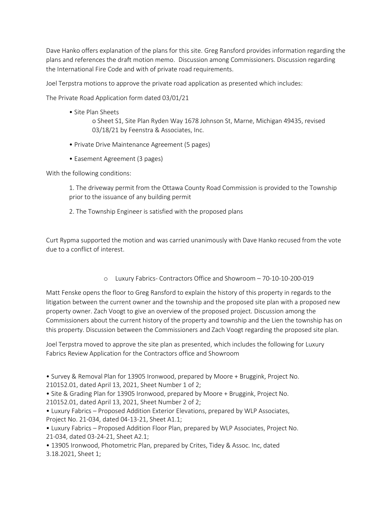Dave Hanko offers explanation of the plans for this site. Greg Ransford provides information regarding the plans and references the draft motion memo. Discussion among Commissioners. Discussion regarding the International Fire Code and with of private road requirements.

Joel Terpstra motions to approve the private road application as presented which includes:

The Private Road Application form dated 03/01/21

• Site Plan Sheets

o Sheet S1, Site Plan Ryden Way 1678 Johnson St, Marne, Michigan 49435, revised 03/18/21 by Feenstra & Associates, Inc.

- Private Drive Maintenance Agreement (5 pages)
- Easement Agreement (3 pages)

With the following conditions:

1. The driveway permit from the Ottawa County Road Commission is provided to the Township prior to the issuance of any building permit

2. The Township Engineer is satisfied with the proposed plans

Curt Rypma supported the motion and was carried unanimously with Dave Hanko recused from the vote due to a conflict of interest.

o Luxury Fabrics- Contractors Office and Showroom – 70-10-10-200-019

Matt Fenske opens the floor to Greg Ransford to explain the history of this property in regards to the litigation between the current owner and the township and the proposed site plan with a proposed new property owner. Zach Voogt to give an overview of the proposed project. Discussion among the Commissioners about the current history of the property and township and the Lien the township has on this property. Discussion between the Commissioners and Zach Voogt regarding the proposed site plan.

Joel Terpstra moved to approve the site plan as presented, which includes the following for Luxury Fabrics Review Application for the Contractors office and Showroom

• Survey & Removal Plan for 13905 Ironwood, prepared by Moore + Bruggink, Project No. 210152.01, dated April 13, 2021, Sheet Number 1 of 2;

• Site & Grading Plan for 13905 Ironwood, prepared by Moore + Bruggink, Project No.

210152.01, dated April 13, 2021, Sheet Number 2 of 2;

• Luxury Fabrics – Proposed Addition Exterior Elevations, prepared by WLP Associates, Project No. 21-034, dated 04-13-21, Sheet A1.1;

• Luxury Fabrics – Proposed Addition Floor Plan, prepared by WLP Associates, Project No. 21-034, dated 03-24-21, Sheet A2.1;

• 13905 Ironwood, Photometric Plan, prepared by Crites, Tidey & Assoc. Inc, dated 3.18.2021, Sheet 1;